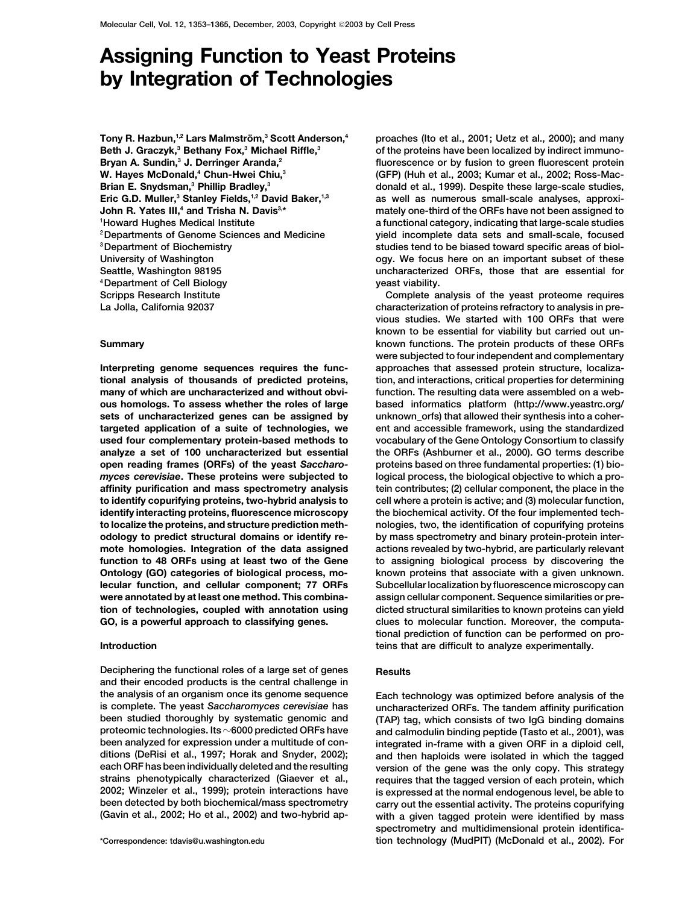# **Assigning Function to Yeast Proteins by Integration of Technologies**

**Tony R. Hazbun,<sup>1,2</sup> Lars Malmström,<sup>3</sup> Scott Anderson,<sup>4</sup> Beth J. Graczyk,3 Bethany Fox,3 Michael Riffle,3 Bryan A. Sundin,3 J. Derringer Aranda,2** <sup>1</sup>Howard Hughes Medical Institute **yeast viability. 4Department of Cell Biology Scripps Research Institute Complete analysis of the yeast proteome requires**

**many of which are uncharacterized and without obvi- function. The resulting data were assembled on a websets of uncharacterized genes can be assigned by unknown\_orfs) that allowed their synthesis into a coherwere annotated by at least one method. This combina- assign cellular component. Sequence similarities or pre-GO, is a powerful approach to classifying genes. clues to molecular function. Moreover, the computa-**

**Deciphering the functional roles of a large set of genes Results and their encoded products is the central challenge in the analysis of an organism once its genome sequence Each technology was optimized before analysis of the**

**proaches (Ito et al., 2001; Uetz et al., 2000); and many of the proteins have been localized by indirect immunofluorescence or by fusion to green fluorescent protein** W. Hayes McDonald,<sup>4</sup> Chun-Hwei Chiu,<sup>3</sup> (GFP) (Huh et al., 2003; Kumar et al., 2002; Ross-Mac-**Brian E. Snydsman,<sup>3</sup> Phillip Bradley,<sup>3</sup> donald et al., 1999). Despite these large-scale studies, Eric G.D. Muller,<sup>3</sup> Stanley Fields,<sup>1,2</sup> David Baker,<sup>1,3</sup> as well as numerous small-scale analyses, approxi-John R. Yates III,<sup>4</sup> and Trisha N. Davis<sup>3,\*</sup> The Mately one-third of the ORFs have not been assigned to**  $a$  functional category, indicating that large-scale studies **yield incomplete data sets and small-scale, focused 2Departments of Genome Sciences and Medicine** <sup>3</sup> Department of Biochemistry **Studies tend to be biased toward specific areas of biol-University of Washington ogy. We focus here on an important subset of these Seattle, Washington 98195 uncharacterized ORFs, those that are essential for**

**La Jolla, California 92037 characterization of proteins refractory to analysis in previous studies. We started with 100 ORFs that were known to be essential for viability but carried out un-Summary known functions. The protein products of these ORFs were subjected to four independent and complementary Interpreting genome sequences requires the func- approaches that assessed protein structure, localizational analysis of thousands of predicted proteins, tion, and interactions, critical properties for determining ous homologs. To assess whether the roles of large based informatics platform (http://www.yeastrc.org/ targeted application of a suite of technologies, we ent and accessible framework, using the standardized used four complementary protein-based methods to vocabulary of the Gene Ontology Consortium to classify analyze a set of 100 uncharacterized but essential the ORFs (Ashburner et al., 2000). GO terms describe open reading frames (ORFs) of the yeast** *Saccharo-* **proteins based on three fundamental properties: (1) bio***myces cerevisiae***. These proteins were subjected to logical process, the biological objective to which a proaffinity purification and mass spectrometry analysis tein contributes; (2) cellular component, the place in the to identify copurifying proteins, two-hybrid analysis to cell where a protein is active; and (3) molecular function, identify interacting proteins, fluorescence microscopy the biochemical activity. Of the four implemented techto localize the proteins, and structure prediction meth- nologies, two, the identification of copurifying proteins odology to predict structural domains or identify re- by mass spectrometry and binary protein-protein intermote homologies. Integration of the data assigned actions revealed by two-hybrid, are particularly relevant function to 48 ORFs using at least two of the Gene to assigning biological process by discovering the Ontology (GO) categories of biological process, mo- known proteins that associate with a given unknown. lecular function, and cellular component; 77 ORFs Subcellular localization by fluorescence microscopy can tion of technologies, coupled with annotation using dicted structural similarities to known proteins can yield tional prediction of function can be performed on pro-Introduction teins that are difficult to analyze experimentally.**

**is complete. The yeast** *Saccharomyces cerevisiae* **has uncharacterized ORFs. The tandem affinity purification been studied thoroughly by systematic genomic and (TAP) tag, which consists of two IgG binding domains proteomic technologies. Its 6000 predicted ORFs have and calmodulin binding peptide (Tasto et al., 2001), was been analyzed for expression under a multitude of con- integrated in-frame with a given ORF in a diploid cell, ditions (DeRisi et al., 1997; Horak and Snyder, 2002); and then haploids were isolated in which the tagged each ORF has been individually deleted and the resulting version of the gene was the only copy. This strategy** requires that the tagged version of each protein, which **2002; Winzeler et al., 1999); protein interactions have is expressed at the normal endogenous level, be able to been detected by both biochemical/mass spectrometry carry out the essential activity. The proteins copurifying** with a given tagged protein were identified by mass **spectrometry and multidimensional protein identifica- \*Correspondence: tdavis@u.washington.edu tion technology (MudPIT) (McDonald et al., 2002). For**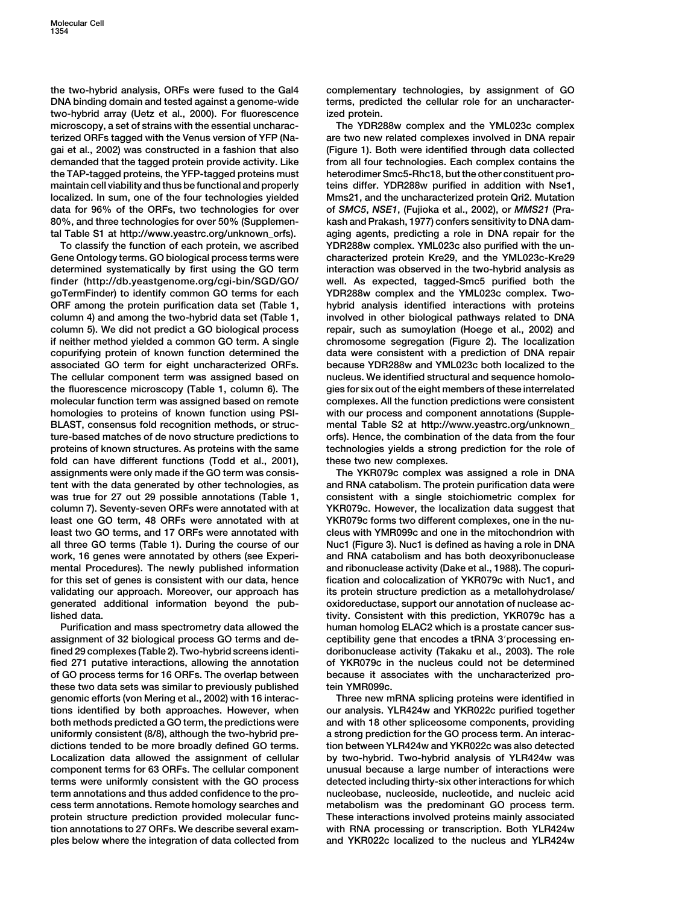**the two-hybrid analysis, ORFs were fused to the Gal4 complementary technologies, by assignment of GO DNA binding domain and tested against a genome-wide terms, predicted the cellular role for an uncharactertwo-hybrid array (Uetz et al., 2000). For fluorescence ized protein. microscopy, a set of strains with the essential uncharac- The YDR288w complex and the YML023c complex terized ORFs tagged with the Venus version of YFP (Na- are two new related complexes involved in DNA repair gai et al., 2002) was constructed in a fashion that also (Figure 1). Both were identified through data collected demanded that the tagged protein provide activity. Like from all four technologies. Each complex contains the the TAP-tagged proteins, the YFP-tagged proteins must heterodimer Smc5-Rhc18, but the other constituent promaintain cell viability and thus be functional and properly teins differ. YDR288w purified in addition with Nse1, localized. In sum, one of the four technologies yielded Mms21, and the uncharacterized protein Qri2. Mutation data for 96% of the ORFs, two technologies for over of** *SMC5***,** *NSE1***, (Fujioka et al., 2002), or** *MMS21* **(Pra-80%, and three technologies for over 50% (Supplemen- kash and Prakash, 1977) confers sensitivity to DNA damtal Table S1 at http://www.yeastrc.org/unknown\_orfs). aging agents, predicting a role in DNA repair for the**

**Gene Ontology terms. GO biological process terms were characterized protein Kre29, and the YML023c-Kre29 determined systematically by first using the GO term interaction was observed in the two-hybrid analysis as finder (http://db.yeastgenome.org/cgi-bin/SGD/GO/ well. As expected, tagged-Smc5 purified both the goTermFinder) to identify common GO terms for each YDR288w complex and the YML023c complex. Two-ORF among the protein purification data set (Table 1, hybrid analysis identified interactions with proteins column 4) and among the two-hybrid data set (Table 1, involved in other biological pathways related to DNA column 5). We did not predict a GO biological process repair, such as sumoylation (Hoege et al., 2002) and if neither method yielded a common GO term. A single chromosome segregation (Figure 2). The localization copurifying protein of known function determined the data were consistent with a prediction of DNA repair associated GO term for eight uncharacterized ORFs. because YDR288w and YML023c both localized to the** The cellular component term was assigned based on nucleus. We identified structural and sequence homolo**the fluorescence microscopy (Table 1, column 6). The gies for six out of the eight members of these interrelated molecular function term was assigned based on remote complexes. All the function predictions were consistent homologies to proteins of known function using PSI- with our process and component annotations (Supple-BLAST, consensus fold recognition methods, or struc- mental Table S2 at http://www.yeastrc.org/unknown\_ ture-based matches of de novo structure predictions to orfs). Hence, the combination of the data from the four proteins of known structures. As proteins with the same technologies yields a strong prediction for the role of fold can have different functions (Todd et al., 2001), these two new complexes. assignments were only made if the GO term was consis- The YKR079c complex was assigned a role in DNA tent with the data generated by other technologies, as and RNA catabolism. The protein purification data were was true for 27 out 29 possible annotations (Table 1, consistent with a single stoichiometric complex for column 7). Seventy-seven ORFs were annotated with at YKR079c. However, the localization data suggest that least one GO term, 48 ORFs were annotated with at YKR079c forms two different complexes, one in the nuleast two GO terms, and 17 ORFs were annotated with cleus with YMR099c and one in the mitochondrion with all three GO terms (Table 1). During the course of our Nuc1 (Figure 3). Nuc1 is defined as having a role in DNA work, 16 genes were annotated by others (see Experi- and RNA catabolism and has both deoxyribonuclease mental Procedures). The newly published information and ribonuclease activity (Dake et al., 1988). The copurifor this set of genes is consistent with our data, hence fication and colocalization of YKR079c with Nuc1, and validating our approach. Moreover, our approach has its protein structure prediction as a metallohydrolase/ generated additional information beyond the pub- oxidoreductase, support our annotation of nuclease ac-**

**assignment of 32 biological process GO terms and de- ceptibility gene that encodes a tRNA 3processing enfined 29 complexes (Table 2). Two-hybrid screens identi- doribonuclease activity (Takaku et al., 2003). The role fied 271 putative interactions, allowing the annotation of YKR079c in the nucleus could not be determined of GO process terms for 16 ORFs. The overlap between because it associates with the uncharacterized prothese two data sets was similar to previously published tein YMR099c. genomic efforts (von Mering et al., 2002) with 16 interac- Three new mRNA splicing proteins were identified in tions identified by both approaches. However, when our analysis. YLR424w and YKR022c purified together both methods predicted a GO term, the predictions were and with 18 other spliceosome components, providing uniformly consistent (8/8), although the two-hybrid pre- a strong prediction for the GO process term. An interacdictions tended to be more broadly defined GO terms. tion between YLR424w and YKR022c was also detected Localization data allowed the assignment of cellular by two-hybrid. Two-hybrid analysis of YLR424w was component terms for 63 ORFs. The cellular component unusual because a large number of interactions were terms were uniformly consistent with the GO process detected including thirty-six other interactions for which term annotations and thus added confidence to the pro- nucleobase, nucleoside, nucleotide, and nucleic acid cess term annotations. Remote homology searches and metabolism was the predominant GO process term. protein structure prediction provided molecular func- These interactions involved proteins mainly associated tion annotations to 27 ORFs. We describe several exam- with RNA processing or transcription. Both YLR424w**

**To classify the function of each protein, we ascribed YDR288w complex. YML023c also purified with the un-**

**lished data. tivity. Consistent with this prediction, YKR079c has a Purification and mass spectrometry data allowed the human homolog ELAC2 which is a prostate cancer sus-**

**ples below where the integration of data collected from and YKR022c localized to the nucleus and YLR424w**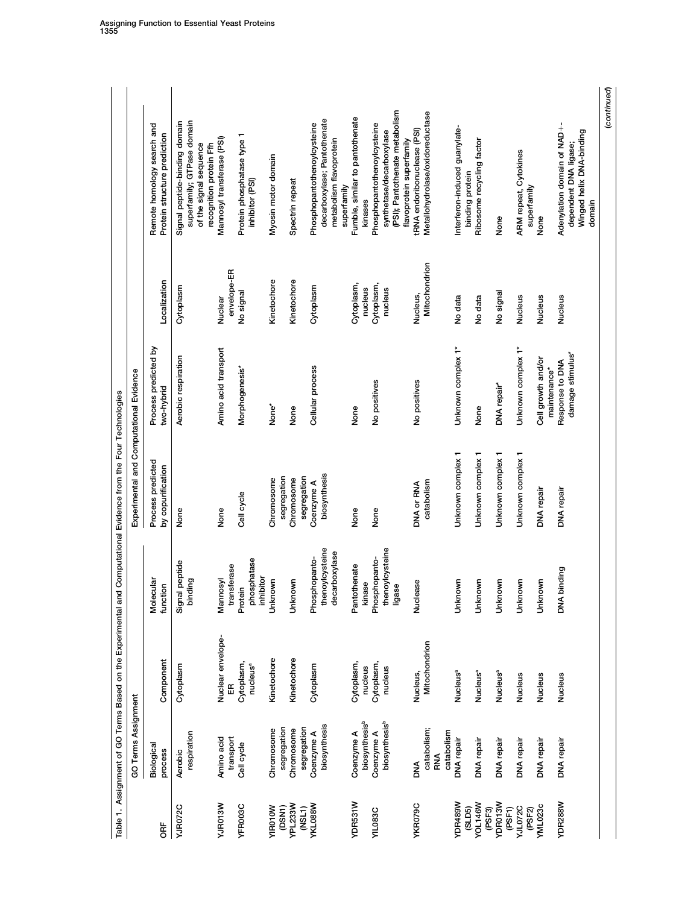|                                    |                                         | Table 1. Assignment of GO Terms Based on the Experimental |                                                   | and Computational Evidence from the Four Technologies |                                     |                           |                                                                                                                       |
|------------------------------------|-----------------------------------------|-----------------------------------------------------------|---------------------------------------------------|-------------------------------------------------------|-------------------------------------|---------------------------|-----------------------------------------------------------------------------------------------------------------------|
|                                    | GO Terms Assignment                     |                                                           |                                                   | Experimental and Computational Evidence               |                                     |                           |                                                                                                                       |
| <b>ORF</b>                         | Biological<br>process                   | Component                                                 | Molecular<br>function                             | Process predicted<br>by copurification                | Process predicted by<br>two-hybrid  | Localization              | Remote homology search and<br>Protein structure prediction                                                            |
| YJR072C                            | respiration<br>Aerobic                  | Cytoplasm                                                 | nal peptide<br>binding<br>္တိ                     | None                                                  | Aerobic respiration                 | Cytoplasm                 | superfamily; GTPase domain<br>Signal peptide-binding domain<br>of the signal sequence<br>recognition protein Ffh      |
| VJR013W                            | Amino acid<br>transport                 | Nuclear envelope-<br>Æ                                    | transferase<br>Mannosyl                           | None                                                  | Amino acid transport                | envelope-ER<br>Nuclear    | Mannosyl transferase (PSI)                                                                                            |
| YFR003C                            | Cell cycle                              | Cytoplasm,<br>nucleus <sup>a</sup>                        | ohosphatase<br>inhibitor<br>Protein               | Cell cycle                                            | Morphogenesis*                      | No signal                 | Protein phosphatase type 1<br>inhibitor (PSI)                                                                         |
| <b>YIR010W</b><br>(DSN1)           | segregation<br>Chromosome               | Kinetochore                                               | Unknown                                           | segregation<br>Chromosome                             | None*                               | Kinetochore               | Myosin motor domain                                                                                                   |
| YPL233W<br>(NSL1)                  | segregation<br>Chromosome               | Kinetochore                                               | Unknown                                           | segregation<br>Chromosome                             | None                                | Kinetochore               | Spectrin repeat                                                                                                       |
| YKL088W                            | biosynthesis<br>Coenzyme A              | Cytoplasm                                                 | thenoylcysteine<br>decarboxylase<br>Phosphopanto- | biosynthesis<br>Coenzyme A                            | Cellular process                    | Cytoplasm                 | decarboxylase; Pantothenate<br>Phosphopantothenoylcysteine<br>metabolism flavoprotein<br>superfamily                  |
| YDR531W                            | biosynthesisb<br>Coenzyme A             | Cytoplasm,<br>nucleus                                     | Pantothenate<br>kinase                            | None                                                  | None                                | Cytoplasm,<br>nucleus     | Fumble, similar to pantothenate<br>kinases                                                                            |
| YIL083C                            | biosynthesis <sup>b</sup><br>Coenzyme A | Cytoplasm,<br>nucleus                                     | thenoylcysteine<br>Phosphopanto-<br>ligase        | None                                                  | No positives                        | Cytoplasm,<br>nucleus     | (PSI); Pantothenate metabolism<br>Phosphopantothenoylcysteine<br>synthetase/decarboxylase<br>flavoprotein superfamily |
| YKR079C                            | catabolism;<br>RNA<br><b>MA</b>         | Mitochondrion<br>Nucleus,                                 | Nuclease                                          | catabolism<br>DNA or RNA                              | No positives                        | Mitochondrion<br>Nucleus, | Metallohydrolase/oxidoreductase<br>tRNA endoribonuclease (PSI)                                                        |
| <b>YDR489W</b><br>(5LDS)           | catabolism<br>DNA repair                | Nucleus <sup>a</sup>                                      | Unknown                                           | Unknown complex 1                                     | Unknown complex 1*                  | No data                   | Interferon-induced guanylate-<br>binding protein                                                                      |
| YDR013W<br>VOL146W<br>(PSF3)       | DNA repair<br>DNA repair                | Nucleus <sup>a</sup><br>Nucleus <sup>a</sup>              | Unknown<br>Unknown                                | Unknown complex 1<br>Unknown complex 1                | DNA repair*<br>None                 | No signal<br>No data      | Ribosome recycling factor<br>None                                                                                     |
| (PSF1)<br><b>YJL072C</b><br>(PSF2) | DNA repair                              | Nucleus                                                   | Unknown                                           | Unknown complex 1                                     | Unknown complex 1*                  | <b>Nucleus</b>            | ARM repeat, Cytokines<br>superfamily                                                                                  |
| YML023c                            | DNA repair                              | Nucleus                                                   | Unknown                                           | DNA repair                                            | Cell growth and/or<br>maintenance*  | Nucleus                   | None                                                                                                                  |
| YDR288W                            | DNA repair                              | Nucleus                                                   | A binding<br>줌                                    | DNA repair                                            | damage stimulus*<br>Response to DNA | Nucleus                   | Adenylation domain of NAD+-<br>Winged helix DNA-binding<br>dependent DNA ligase;<br>domain                            |
|                                    |                                         |                                                           |                                                   |                                                       |                                     |                           | (continued)                                                                                                           |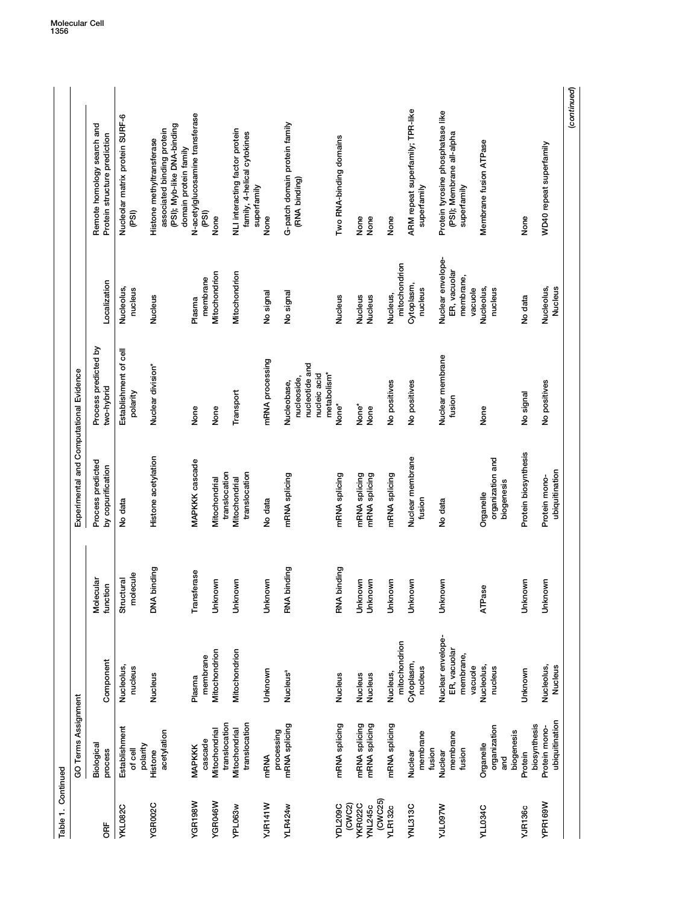| Table 1. Continued                          |                                                |                                                           |                           |                                             |                                                                                         |                                                           |                                                                                                                 |
|---------------------------------------------|------------------------------------------------|-----------------------------------------------------------|---------------------------|---------------------------------------------|-----------------------------------------------------------------------------------------|-----------------------------------------------------------|-----------------------------------------------------------------------------------------------------------------|
|                                             | GO Terms Assignment                            |                                                           |                           | Experimental and Computational Evidence     |                                                                                         |                                                           |                                                                                                                 |
| ORF                                         | Biological<br>process                          | Component                                                 | Molecular<br>function     | Process predicted<br>by copurification      | Process predicted by<br>two-hybrid                                                      | Localization                                              | Remote homology search and<br>Protein structure prediction                                                      |
| YKL082C                                     | Establishment<br>polarity<br>of cell           | Nucleolus,<br>nucleus                                     | molecule<br>Structural    | No data                                     | Establishment of cell<br>polarity                                                       | Nucleolus,<br>nucleus                                     | Nucleolar matrix protein SURF-6<br>(PSI)                                                                        |
| YGR002C                                     | acetylation<br>Histone                         | Nucleus                                                   | DNA binding               | Histone acetylation                         | Nuclear division*                                                                       | <b>Nucleus</b>                                            | (PSI); Myb-like DNA-binding<br>associated binding protein<br>Histone methyltransferase<br>domain protein family |
| <b>YGR198W</b>                              | cascade<br><b>MAPKKK</b>                       | membrane<br>Plasma                                        | Transferase               | MAPKKK cascade                              | None                                                                                    | membrane<br>Plasma                                        | N-acetylglucosamine transferase<br>(PSI)                                                                        |
| YGR046W                                     | translocation<br>Mitochondrial                 | Mitochondrion                                             | Unknown                   | translocation<br>Mitochondrial              | None                                                                                    | Mitochondrion                                             | None                                                                                                            |
| YPL063w                                     | translocation<br>Mitochondrial                 | Mitochondrion                                             | Unknown                   | translocation<br>Mitochondrial              | Transport                                                                               | Mitochondrion                                             | NLI interacting factor protein<br>family, 4-helical cytokines<br>superfamily                                    |
| VJR141W                                     | processing<br>mRNA                             | Unknown                                                   | Unknown                   | No data                                     | mRNA processing                                                                         | No signal                                                 | None                                                                                                            |
| YLR424w                                     | mRNA splicing                                  | Nucleus <sup>a</sup>                                      | RNA binding               | mRNA splicing                               | nucleotide and<br>metabolism <sup>*</sup><br>nucleic acid<br>nucleoside,<br>Nucleobase, | No signal                                                 | G-patch domain protein family<br>(RNA binding)                                                                  |
| (CWC2)<br>YDL209C                           | mRNA splicing                                  | Nucleus                                                   | binding<br>≸              | mRNA splicing                               | None*                                                                                   | <b>Nucleus</b>                                            | Two RNA-binding domains                                                                                         |
| (CWC25)<br><b>YKR022C</b><br><b>YNL245c</b> | mRNA splicing<br>mRNA splicing                 | Nucleus<br>Nucleus                                        | Unknown<br><b>Unknown</b> | mRNA splicing<br>mRNA splicing              | None*<br>None                                                                           | Nucleus<br>Nucleus                                        | None<br>None                                                                                                    |
| <b>YLR132c</b>                              | mRNA splicing                                  | mitochondrion<br>Nucleus,                                 | Unknown                   | mRNA splicing                               | No positives                                                                            | mitochondrion<br>Nucleus,                                 | None                                                                                                            |
| YNL313C                                     | membrane<br>fusion<br>Nuclear                  | Cytoplasm,<br>nucleus                                     | Unknown                   | Nuclear membrane<br>fusion                  | No positives                                                                            | Cytoplasm,<br>nucleus                                     | ARM repeat superfamily; TPR-like<br>superfamily                                                                 |
| MZ607LY                                     | membrane<br>fusion<br>Nuclear                  | Nuclear envelope-<br>ER, vacuolar<br>membrane,<br>vacuole | Unknown                   | No data                                     | Nuclear membrane<br>fusion                                                              | Nuclear envelope-<br>ER, vacuolar<br>membrane,<br>vacuole | Protein tyrosine phosphatase like<br>(PSI); Membrane all-alpha<br>superfamily                                   |
| YLL034C                                     | organization<br>biogenesis<br>Organelle<br>and | Nucleolus,<br>nucleus                                     | ATPase                    | organization and<br>biogenesis<br>Organelle | None                                                                                    | Nucleolus,<br>nucleus                                     | Membrane fusion ATPase                                                                                          |
| YJR136c                                     | biosynthesis<br>Protein                        | Unknown                                                   | Unknown                   | Protein biosynthesis                        | No signal                                                                               | No data                                                   | None                                                                                                            |
| YPR169W                                     | ubiquitination<br>Protein mono-                | Nucleolus,<br>Nucleus                                     | Unknown                   | ubiquitination<br>Protein mono-             | No positives                                                                            | Nucleus<br>Nucleolus,                                     | WD40 repeat superfamily                                                                                         |
|                                             |                                                |                                                           |                           |                                             |                                                                                         |                                                           | (continued)                                                                                                     |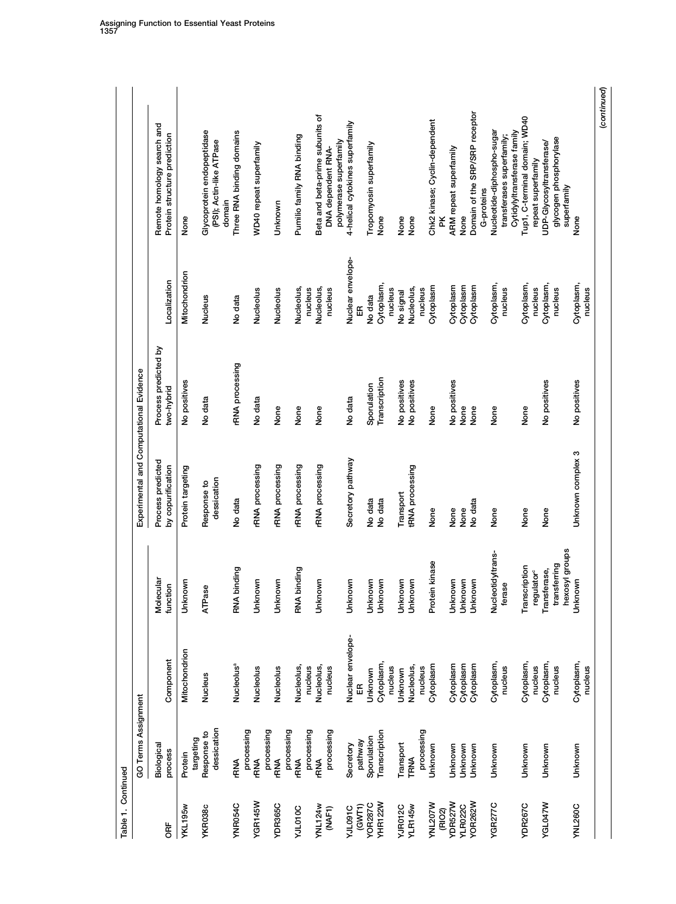| Table 1. Continued             |                            |                                   |                               |                                         |                                    |                        |                                                                  |
|--------------------------------|----------------------------|-----------------------------------|-------------------------------|-----------------------------------------|------------------------------------|------------------------|------------------------------------------------------------------|
|                                | GO Terms Assignment        |                                   |                               | Experimental and Computational Evidence |                                    |                        |                                                                  |
| bH<br>06                       | Biological<br>process      | Component                         | Molecular<br>function         | Process predicted<br>by copurification  | Process predicted by<br>two-hybrid | Localization           | Remote homology search and<br>Protein structure prediction       |
| YKL195w                        | Protein                    | Mitochondrion                     | Unknown                       |                                         |                                    |                        |                                                                  |
|                                | targeting                  |                                   |                               | Protein targeting                       | No positives                       | Mitochondrion          | None                                                             |
| YKR038c                        | dessication<br>Response to | Nucleus                           | ATPase                        | dessication<br>Response to              | No data                            | <b>Nucleus</b>         | Glycoprotein endopeptidase<br>(PSI); Actin-like ATPase<br>domain |
| YNR054C                        | <b>RNA</b>                 | Nucleolus <sup>a</sup>            | RNA binding                   | No data                                 | rRNA processing                    | No data                | Three RNA binding domains                                        |
| YGR145W                        | processing<br><b>FRNA</b>  | Nucleolus                         | Unknown                       | RNA processing                          | No data                            | Nucleolus              | WD40 repeat superfamily                                          |
| YDR365C                        | processing<br><b>RNA</b>   | Nucleolus                         | Unknown                       | rRNA processing                         | None                               | Nucleolus              | Unknown                                                          |
|                                | processing                 |                                   |                               |                                         |                                    |                        |                                                                  |
| <b>YJL010C</b>                 | <b>RNA</b>                 | Nucleolus,                        | RNA binding                   | <b>RNA</b> processing                   | None                               | Nucleolus,             | Pumilio family RNA binding                                       |
|                                | processing                 | nucleus                           |                               |                                         |                                    | nucleus                |                                                                  |
| VNL124w                        | <b>FRNA</b>                | Nucleolus,                        | Unknown                       | rRNA processing                         | None                               | Nucleolus,             | Beta and beta-prime subunits of<br>DNA dependent RNA-            |
| (NAF1)                         | processing                 | nucleus                           |                               |                                         |                                    | nucleus                | polymerase superfamily                                           |
| (GWT1)<br><b>CIFOTLY</b>       | pathway<br>Secretory       | Nuclear envelope-<br>$\mathbb{E}$ | Unknown                       | Secretory pathway                       | No data                            | Nuclear envelope-<br>⊞ | 4-helical cytokines superfamily                                  |
| YOR287C                        | Sporulation                | Unknown                           | Unknown                       | No data                                 | Sporulation                        | No data                | Tropomyosin superfamily                                          |
| YHR122W                        | Transcription              | Cytoplasm,                        | Unknown                       | No data                                 | Transcription                      | Cytoplasm,             | None                                                             |
|                                |                            | nucleus                           |                               |                                         |                                    | nucleus                |                                                                  |
| <b>YJR012C</b>                 | Transport                  | Unknown                           | Unknown                       | Transport                               | No positives                       | No signal              | None                                                             |
| YLR145w                        | TRNA                       | Nucleolus,                        | <b>Unknown</b>                | tRNA processing                         | No positives                       | Nucleolus,             | None                                                             |
|                                | processing                 | nucleus                           |                               |                                         |                                    | nucleus                |                                                                  |
| VNL207W<br>(RIO <sub>2</sub> ) | Unknown                    | Cytoplasm                         | Protein kinase                | None                                    | None                               | Cytoplasm              | Chk2 kinase; Cyclin-dependent<br>¥                               |
| /DR527W                        | <b>Unknown</b>             | Cytoplasm                         | Unknown<br>Unknown<br>Unknown | None                                    | No positives                       | Cytoplasm              | ARM repeat superfamily                                           |
| <b>/LR022C</b>                 | Unknown                    | Cytoplasm                         |                               | None                                    | None                               | Cytoplasm              | None                                                             |
| /OR262W                        | <b>Unknown</b>             | Cytoplasm                         |                               | No data                                 | None                               | Cytoplasm              | Domain of the SRP/SRP receptor                                   |
|                                |                            |                                   |                               |                                         |                                    |                        | G-proteins                                                       |
| <b>YGR277C</b>                 | Unknown                    | Cytoplasm,                        | Nucleotidyltrans-             | None                                    | None                               | Cytoplasm,             | Nucleotide-diphospho-sugar                                       |
|                                |                            | nucleus                           | ferase                        |                                         |                                    | nucleus                | Cytidylyltransferase family<br>transferases superfamily;         |
|                                |                            |                                   |                               |                                         |                                    |                        |                                                                  |
| YDR267C                        | Unknown                    | Cytoplasm,<br>nucleus             | Transcription<br>regulator®   | None                                    | None                               | Cytoplasm,<br>nucleus  | Tup1, C-terminal domain; WD40<br>repeat superfamily              |
| VGL047W                        | Unknown                    | Cytoplasm,                        | Transferase,                  | None                                    | No positives                       | Cytoplasm,             | UDP-Glycosyltransferase/                                         |
|                                |                            | nucleus                           | hexosyl groups<br>ransferring |                                         |                                    | nucleus                | glycogen phosphorylase<br>superfamily                            |
| <b>YNL260C</b>                 | Unknown                    | Cytoplasm,                        | Unknown                       | Unknown complex 3                       | No positives                       | Cytoplasm,             | None                                                             |
|                                |                            | nucleus                           |                               |                                         |                                    | nucleus                |                                                                  |
|                                |                            |                                   |                               |                                         |                                    |                        | (continued)                                                      |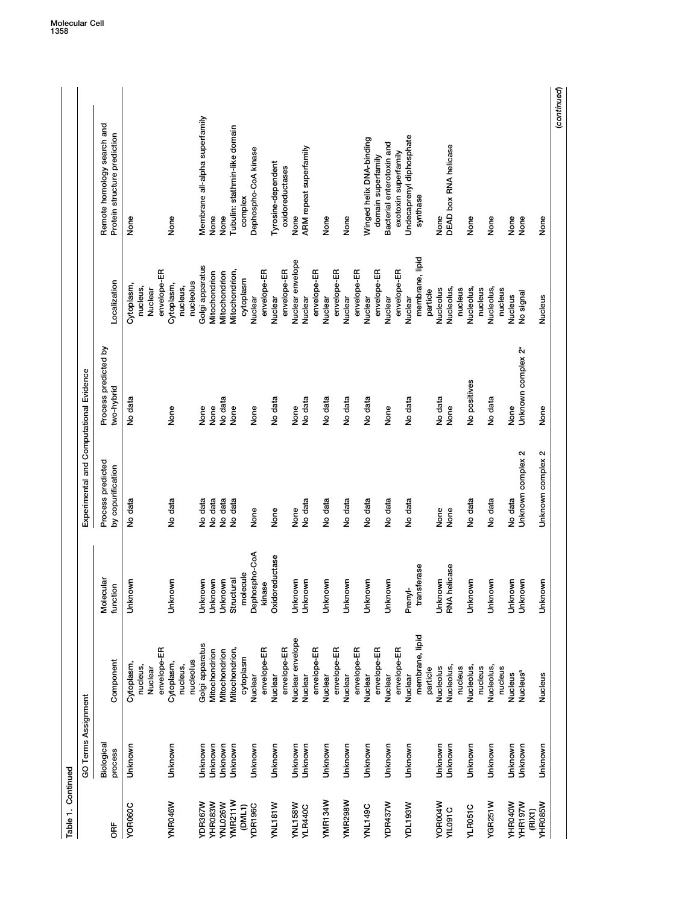| Table 1. Continued                   |                                  |                                                       |                                   |                                         |                                    |                                                       |                                                                             |
|--------------------------------------|----------------------------------|-------------------------------------------------------|-----------------------------------|-----------------------------------------|------------------------------------|-------------------------------------------------------|-----------------------------------------------------------------------------|
|                                      | GO Terms Assignment              |                                                       |                                   | Experimental and Computational Evidence |                                    |                                                       |                                                                             |
| <b>ORF</b>                           | Biological<br>process            | Component                                             | Molecular<br>function             | Process predicted<br>by copurification  | Process predicted by<br>two-hybrid | Localization                                          | Remote homology search and<br>Protein structure prediction                  |
| YOR060C                              | Unknown                          | envelope-ER<br>Cytoplasm,<br>nucleus,<br>Nuclear      | Unknown                           | No data                                 | No data                            | envelope-ER<br>Cytoplasm,<br>nucleus,<br>Nuclear      | None                                                                        |
| <b>YNR046W</b>                       | Unknown                          | nucleolus<br>Cytoplasm,<br>nucleus,                   | Unknown                           | No data                                 | None                               | nucleolus<br>Cytoplasm,<br>nucleus,                   | None                                                                        |
| YDR367W<br>YHR083W<br><b>YNL026W</b> | Jnknown<br>Unknown               | Golgi apparatus<br>Mitochondrion                      | <b>Unknown</b><br>Unknown         | No data<br>No data                      | None<br>None                       | Golgi apparatus<br>Mitochondrion                      | Membrane all-alpha superfamily<br>None                                      |
| YMR211W<br>(DML1)                    | <b>Unknown</b><br><b>Unknown</b> | Mitochondrion,<br>Mitochondrion<br>cytoplasm          | molecule<br>Structural<br>Unknown | No data<br>No data                      | No data<br>None                    | Mitochondrion,<br>Mitochondrion<br>cytoplasm          | Tubulin: stathmin-like domain<br>complex<br>None                            |
| YDR196C                              | Unknown                          | envelope-ER<br>Nuclear                                | Dephospho-CoA<br>kinase           | None                                    | None                               | envelope-ER<br>Nuclear                                | Dephospho-CoA kinase                                                        |
| <b>VNL181W</b>                       | Unknown                          | envelope-ER<br>Nuclear                                | Oxidoreductase                    | None                                    | No data                            | envelope-ER<br>Nuclear                                | Tyrosine-dependent<br>oxidoreductases                                       |
| VNL158W<br>YLR440C                   | Unknown<br>Unknown               | Nuclear envelope<br>Nuclear                           | Unknown<br>Unknown                | No data<br>None                         | No data<br>None                    | Nuclear envelope<br>Nuclear                           | ARM repeat superfamily<br>None                                              |
| YMR134W                              | Unknown                          | envelope-ER<br>envelope-ER<br>Nuclear                 | Unknown                           | No data                                 | No data                            | envelope-ER<br>envelope-ER<br>Nuclear                 | None                                                                        |
| <b>YMR298W</b>                       | Unknown                          | envelope-ER<br>Nuclear                                | Unknown                           | No data                                 | No data                            | envelope-ER<br>Nuclear                                | None                                                                        |
| YDR437W<br><b>YNL149C</b>            | Unknown<br>Unknown               | envelope-ER<br>Nuclear<br>Nuclear                     | Unknown<br>Unknown                | No data<br>No data                      | No data<br>None                    | envelope-ER<br>Nuclear<br>Nuclear                     | Winged helix DNA-binding<br>Bacterial enterotoxin and<br>domain superfamily |
| <b>MS617QA</b>                       | Unknown                          | membrane, lipid<br>envelope-ER<br>particle<br>Nuclear | transferase<br>Prenyl-            | No data                                 | No data                            | membrane, lipid<br>envelope-ER<br>particle<br>Nuclear | Undecaprenyl diphosphate<br>exotoxin superfamily<br>synthase                |
| <b>YOROO4W</b><br><b>OLGOTIA</b>     | Unknown<br>Unknown               | Nucleolus,<br>nucleus<br>Nucleolus                    | RNA helicase<br>Unknown           | None<br>None                            | No data<br>None                    | Nucleolus,<br>nucleus<br>Nucleolus                    | DEAD box RNA helicase<br>None                                               |
| YGR251W<br>YLR051C                   | Unknown<br>Unknown               | Nucleolus,<br>Nucleolus,<br>nucleus                   | Unknown<br>Unknown                | No data<br>No data                      | No positives<br>No data            | Nucleolus,<br>Nucleolus,<br>nucleus                   | None<br>None                                                                |
| <b>YHR040W</b><br>VHR197W<br>(RIX1)  | Unknown<br>Unknown               | nucleus<br>Nucleus <sup>a</sup><br>Nucleus            | Unknown<br>Unknown                | Unknown complex 2<br>No data            | Unknown complex 2*<br>None         | nucleus<br>No signal<br>Nucleus                       | None<br>None                                                                |
| YHR085W                              | Unknown                          | Nucleus                                               | Unknown                           | Unknown complex 2                       | None                               | <b>Nucleus</b>                                        | (continued)<br>None                                                         |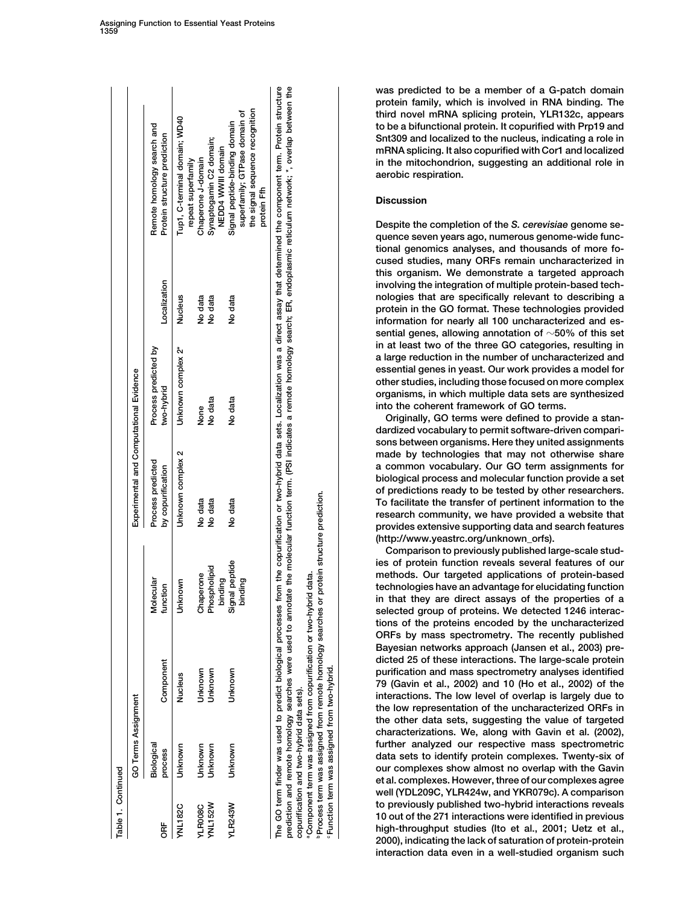|                             |           |                           |                                        | Experimental and Computational Evidence |              |                                                                  |
|-----------------------------|-----------|---------------------------|----------------------------------------|-----------------------------------------|--------------|------------------------------------------------------------------|
| Biological<br>process<br>9¥ | Component | Molecular<br>function     | Process predicted<br>by copurification | Process predicted by<br>two-hybrid      | Localization | Remote homology search and<br>Protein structure prediction       |
| Jnknown<br><b>VNL182C</b>   | Nucleus   | Jnknown                   | Unknown complex 2                      | Jnknown complex 2*                      | Nucleus      | Tup1, C-terminal domain; WD40                                    |
| Jnknown<br><b>LR008C</b>    | Jnknown   | Chaperone                 | No data                                | None                                    | No data      | Chaperone J-domain<br>repeat superfamily                         |
| Jnknown<br>VNL152W          | Jnknown   | Phospholipid              | No data                                | No data                                 | No data      | Synaptogamin C2 domain;                                          |
| Unknown<br>/LR243W          | Jnknown   | Signal peptide<br>pinding | No data                                | No data                                 | No data      | Signal peptide-binding domain<br>NEDD4 WWIII domain              |
|                             |           | pinding                   |                                        |                                         |              | the signal sequence recognition<br>superfamily; GTPase domain of |
|                             |           |                           |                                        |                                         |              | protein Ffh                                                      |

Component term was assigned from copurification or two-hybrid data **Component term was assigned from copurification or two-hybrid data.** Process term was assigned from remote homology searches or protein structure prediction.

term was assigned from remote homology searches or protein structure prediction.

**cFunction term was assigned from two-hybrid.**

Function term was Process

assigned

from two-hybrid.

**was predicted to be a member of a G-patch domain protein family, which is involved in RNA binding. The third novel mRNA splicing protein, YLR132c, appears to be a bifunctional protein. It copurified with Prp19 and Snt309 and localized to the nucleus, indicating a role in mRNA splicing. It also copurified with Cor1 and localized in the mitochondrion, suggesting an additional role in aerobic respiration.**

## **Discussion**

**Despite the completion of the** *S. cerevisiae* **genome sequence seven years ago, numerous genome-wide functional genomics analyses, and thousands of more focused studies, many ORFs remain uncharacterized in this organism. We demonstrate a targeted approach involving the integration of multiple protein-based technologies that are specifically relevant to describing a protein in the GO format. These technologies provided information for nearly all 100 uncharacterized and essential genes, allowing annotation of 50% of this set in at least two of the three GO categories, resulting in a large reduction in the number of uncharacterized and essential genes in yeast. Our work provides a model for other studies, including those focused on more complex organisms, in which multiple data sets are synthesized into the coherent framework of GO terms.**

**Originally, GO terms were defined to provide a standardized vocabulary to permit software-driven comparisons between organisms. Here they united assignments made by technologies that may not otherwise share a common vocabulary. Our GO term assignments for biological process and molecular function provide a set of predictions ready to be tested by other researchers. To facilitate the transfer of pertinent information to the research community, we have provided a website that provides extensive supporting data and search features (http://www.yeastrc.org/unknown\_orfs).**

**Comparison to previously published large-scale studies of protein function reveals several features of our methods. Our targeted applications of protein-based technologies have an advantage for elucidating function in that they are direct assays of the properties of a selected group of proteins. We detected 1246 interactions of the proteins encoded by the uncharacterized ORFs by mass spectrometry. The recently published Bayesian networks approach (Jansen et al., 2003) predicted 25 of these interactions. The large-scale protein purification and mass spectrometry analyses identified 79 (Gavin et al., 2002) and 10 (Ho et al., 2002) of the interactions. The low level of overlap is largely due to the low representation of the uncharacterized ORFs in the other data sets, suggesting the value of targeted characterizations. We, along with Gavin et al. (2002), further analyzed our respective mass spectrometric data sets to identify protein complexes. Twenty-six of our complexes show almost no overlap with the Gavin et al. complexes. However, three of our complexes agree well (YDL209C, YLR424w, and YKR079c). A comparison to previously published two-hybrid interactions reveals 10 out of the 271 interactions were identified in previous high-throughput studies (Ito et al., 2001; Uetz et al., 2000), indicating the lack of saturation of protein-protein interaction data even in a well-studied organism such**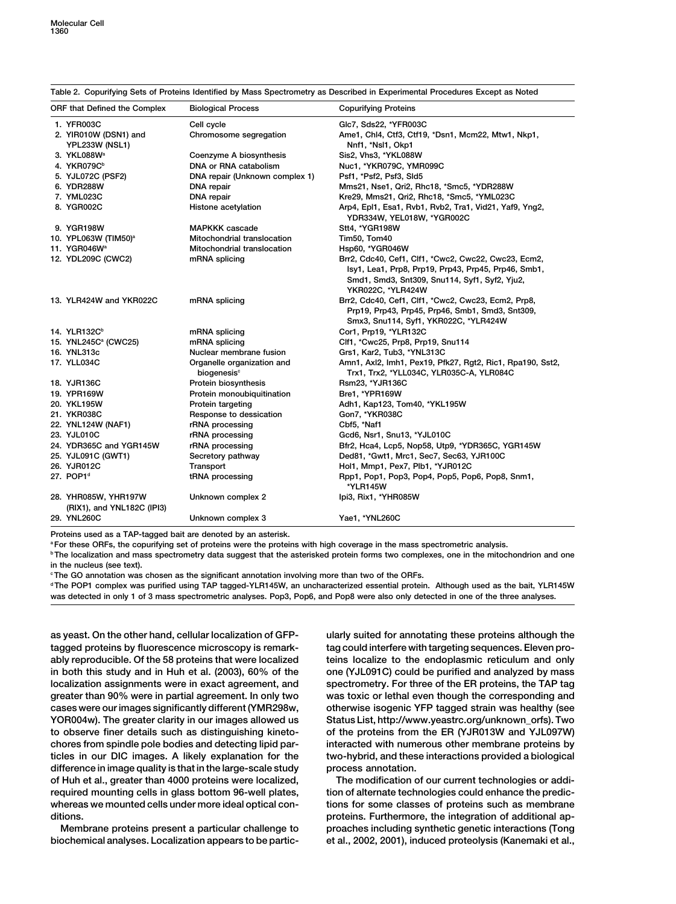|                                                    |                                                       | rable 2. Copurifying Sets of Proteins identified by Mass Spectrometry as Described in Experimental Procedures Except as Noted                                                    |
|----------------------------------------------------|-------------------------------------------------------|----------------------------------------------------------------------------------------------------------------------------------------------------------------------------------|
| ORF that Defined the Complex                       | <b>Biological Process</b>                             | <b>Copurifying Proteins</b>                                                                                                                                                      |
| 1. YFR003C                                         | Cell cycle                                            | Glc7, Sds22, *YFR003C                                                                                                                                                            |
| 2. YIR010W (DSN1) and                              | Chromosome segregation                                | Ame1, Chl4, Ctf3, Ctf19, *Dsn1, Mcm22, Mtw1, Nkp1,                                                                                                                               |
| YPL233W (NSL1)                                     |                                                       | Nnf1, *Nsl1, Okp1                                                                                                                                                                |
| 3. YKL088W <sup>a</sup>                            | Coenzyme A biosynthesis                               | Sis2, Vhs3, *YKL088W                                                                                                                                                             |
| 4. YKR079Cb                                        | DNA or RNA catabolism                                 | Nuc1, *YKR079C, YMR099C                                                                                                                                                          |
| 5. YJL072C (PSF2)                                  | DNA repair (Unknown complex 1)                        | Psf1, *Psf2, Psf3, Sld5                                                                                                                                                          |
| 6. YDR288W                                         | DNA repair                                            | Mms21, Nse1, Qri2, Rhc18, *Smc5, *YDR288W                                                                                                                                        |
| 7. YML023C                                         | DNA repair                                            | Kre29, Mms21, Qri2, Rhc18, *Smc5, *YML023C                                                                                                                                       |
| 8. YGR002C                                         | Histone acetylation                                   | Arp4, Epl1, Esa1, Rvb1, Rvb2, Tra1, Vid21, Yaf9, Yng2,<br>YDR334W, YEL018W, *YGR002C                                                                                             |
| 9. YGR198W                                         | <b>MAPKKK</b> cascade                                 | Stt4, *YGR198W                                                                                                                                                                   |
| 10. YPL063W (TIM50) <sup>a</sup>                   | Mitochondrial translocation                           | Tim50, Tom40                                                                                                                                                                     |
| 11. YGR046Wa                                       | Mitochondrial translocation                           | Hsp60, *YGR046W                                                                                                                                                                  |
| 12. YDL209C (CWC2)                                 | mRNA splicing                                         | Brr2, Cdc40, Cef1, Clf1, *Cwc2, Cwc22, Cwc23, Ecm2,<br>lsy1, Lea1, Prp8, Prp19, Prp43, Prp45, Prp46, Smb1,<br>Smd1, Smd3, Snt309, Snu114, Syf1, Syf2, Yju2,<br>YKR022C, *YLR424W |
| 13. YLR424W and YKR022C                            | mRNA splicing                                         | Brr2, Cdc40, Cef1, Clf1, *Cwc2, Cwc23, Ecm2, Prp8,<br>Prp19, Prp43, Prp45, Prp46, Smb1, Smd3, Snt309,<br>Smx3, Snu114, Syf1, YKR022C, *YLR424W                                   |
| 14. YLR132C <sup>b</sup>                           | mRNA splicing                                         | Cor1, Prp19, *YLR132C                                                                                                                                                            |
| 15. YNL245C <sup>a</sup> (CWC25)                   | mRNA splicing                                         | Clf1, *Cwc25, Prp8, Prp19, Snu114                                                                                                                                                |
| 16. YNL313c                                        | Nuclear membrane fusion                               | Grs1, Kar2, Tub3, *YNL313C                                                                                                                                                       |
| 17. YLL034C                                        | Organelle organization and<br>biogenesis <sup>c</sup> | Amn1, Axl2, Imh1, Pex19, Pfk27, Rgt2, Ric1, Rpa190, Sst2,<br>Trx1, Trx2, *YLL034C, YLR035C-A, YLR084C                                                                            |
| 18. YJR136C                                        | Protein biosynthesis                                  | Rsm23, *YJR136C                                                                                                                                                                  |
| 19. YPR169W                                        | Protein monoubiquitination                            | Bre1, *YPR169W                                                                                                                                                                   |
| 20. YKL195W                                        | Protein targeting                                     | Adh1, Kap123, Tom40, *YKL195W                                                                                                                                                    |
| 21. YKR038C                                        | Response to dessication                               | Gon7, *YKR038C                                                                                                                                                                   |
| 22. YNL124W (NAF1)                                 | rRNA processing                                       | Cbf5, *Naf1                                                                                                                                                                      |
| 23. YJL010C                                        | rRNA processing                                       | Gcd6, Nsr1, Snu13, *YJL010C                                                                                                                                                      |
| 24. YDR365C and YGR145W                            | rRNA processing                                       | Bfr2, Hca4, Lcp5, Nop58, Utp9, *YDR365C, YGR145W                                                                                                                                 |
| 25. YJL091C (GWT1)                                 | Secretory pathway                                     | Ded81, *Gwt1, Mrc1, Sec7, Sec63, YJR100C                                                                                                                                         |
| 26. YJR012C                                        | Transport                                             | Hol1, Mmp1, Pex7, Plb1, *YJR012C                                                                                                                                                 |
| 27. POP1 <sup>d</sup>                              | tRNA processing                                       | Rpp1, Pop1, Pop3, Pop4, Pop5, Pop6, Pop8, Snm1,<br>*YLR145W                                                                                                                      |
| 28. YHR085W, YHR197W<br>(RIX1), and YNL182C (IPI3) | Unknown complex 2                                     | Ipi3, Rix1, *YHR085W                                                                                                                                                             |
| 29. YNL260C                                        | Unknown complex 3                                     | Yae1, *YNL260C                                                                                                                                                                   |

**Table 2. Copurifying Sets of Proteins Identified by Mass Spectrometry as Described in Experimental Procedures Except as Noted**

**Proteins used as a TAP-tagged bait are denoted by an asterisk.**

**aFor these ORFs, the copurifying set of proteins were the proteins with high coverage in the mass spectrometric analysis.**

**<sup>b</sup> The localization and mass spectrometry data suggest that the asterisked protein forms two complexes, one in the mitochondrion and one in the nucleus (see text).**

**cThe GO annotation was chosen as the significant annotation involving more than two of the ORFs.**

**<sup>d</sup> The POP1 complex was purified using TAP tagged-YLR145W, an uncharacterized essential protein. Although used as the bait, YLR145W was detected in only 1 of 3 mass spectrometric analyses. Pop3, Pop6, and Pop8 were also only detected in one of the three analyses.**

**as yeast. On the other hand, cellular localization of GFP- ularly suited for annotating these proteins although the tagged proteins by fluorescence microscopy is remark- tag could interfere with targeting sequences. Eleven proably reproducible. Of the 58 proteins that were localized teins localize to the endoplasmic reticulum and only in both this study and in Huh et al. (2003), 60% of the one (YJL091C) could be purified and analyzed by mass localization assignments were in exact agreement, and spectrometry. For three of the ER proteins, the TAP tag greater than 90% were in partial agreement. In only two was toxic or lethal even though the corresponding and cases were our images significantly different (YMR298w, otherwise isogenic YFP tagged strain was healthy (see YOR004w). The greater clarity in our images allowed us Status List, http://www.yeastrc.org/unknown\_orfs). Two to observe finer details such as distinguishing kineto- of the proteins from the ER (YJR013W and YJL097W) chores from spindle pole bodies and detecting lipid par- interacted with numerous other membrane proteins by ticles in our DIC images. A likely explanation for the two-hybrid, and these interactions provided a biological difference in image quality is that in the large-scale study process annotation. of Huh et al., greater than 4000 proteins were localized, The modification of our current technologies or addirequired mounting cells in glass bottom 96-well plates, tion of alternate technologies could enhance the predicwhereas we mounted cells under more ideal optical con- tions for some classes of proteins such as membrane ditions. proteins. Furthermore, the integration of additional ap-**

**biochemical analyses. Localization appears to be partic- et al., 2002, 2001), induced proteolysis (Kanemaki et al.,**

**Membrane proteins present a particular challenge to proaches including synthetic genetic interactions (Tong**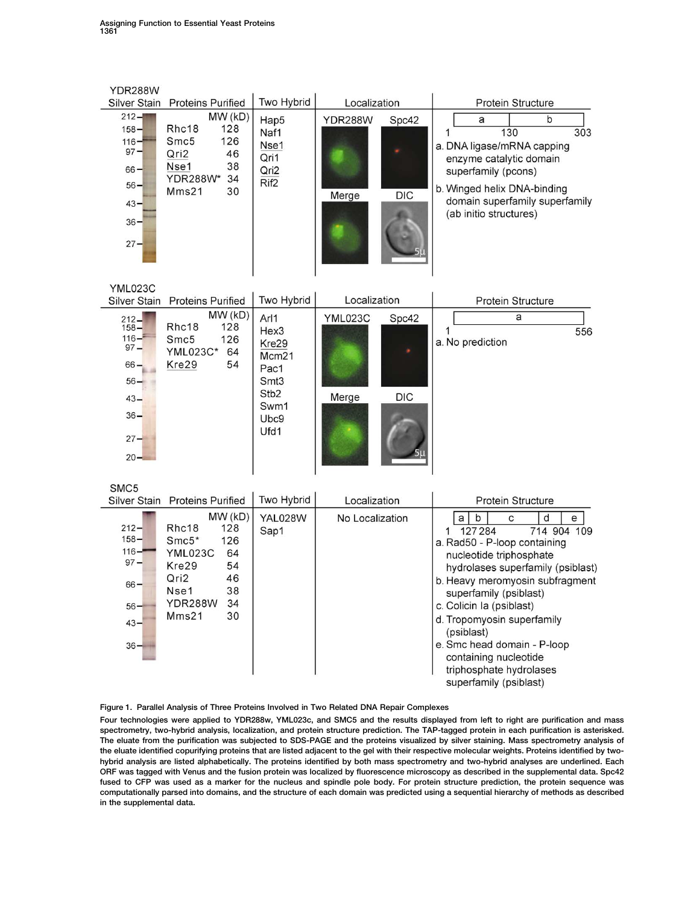| <b>YDR288W</b>                                                                                      |                                                                                                                                                                               |                                                                                                                    |                                 |                     |                                                                                                                                                                                                                                                                                                                                                                                                                                           |
|-----------------------------------------------------------------------------------------------------|-------------------------------------------------------------------------------------------------------------------------------------------------------------------------------|--------------------------------------------------------------------------------------------------------------------|---------------------------------|---------------------|-------------------------------------------------------------------------------------------------------------------------------------------------------------------------------------------------------------------------------------------------------------------------------------------------------------------------------------------------------------------------------------------------------------------------------------------|
|                                                                                                     | Silver Stain Proteins Purified                                                                                                                                                | Two Hybrid                                                                                                         | Localization                    |                     | Protein Structure                                                                                                                                                                                                                                                                                                                                                                                                                         |
| $212 -$<br>$158 -$<br>$116 -$<br>$97 -$<br>$66 -$<br>$56-$<br>$43 -$<br>$36 -$<br>$27 -$            | MW (kD)<br>128<br>Rhc18<br>126<br>Smc <sub>5</sub><br>Qri2<br>46<br>38<br>Nse1<br>YDR288W*<br>34<br>30<br>Mms21                                                               | Hap5<br>Naf1<br>Nse1<br>Qri1<br>Qri2<br>Rif <sub>2</sub>                                                           | <b>YDR288W</b><br>Merge         | Spc42<br><b>DIC</b> | b<br>a<br>130<br>303<br>1<br>a. DNA ligase/mRNA capping<br>enzyme catalytic domain<br>superfamily (pcons)<br>b. Winged helix DNA-binding<br>domain superfamily superfamily<br>(ab initio structures)                                                                                                                                                                                                                                      |
| YML023C                                                                                             | Silver Stain Proteins Purified                                                                                                                                                | Two Hybrid                                                                                                         | Localization                    |                     | Protein Structure                                                                                                                                                                                                                                                                                                                                                                                                                         |
| $212 -$<br>$158 -$<br>$116 -$<br>$97 -$<br>$66 -$<br>$56 -$<br>$43 -$<br>$36 -$<br>$27 -$<br>$20 -$ | MW (kD)<br>Rhc18<br>128<br>126<br>Smc <sub>5</sub><br><b>YML023C*</b><br>64<br>Kre29<br>54                                                                                    | Arl1<br>Hex3<br>Kre29<br>Mcm <sub>21</sub><br>Pac1<br>Smt <sub>3</sub><br>Stb <sub>2</sub><br>Swm1<br>Ubc9<br>Ufd1 | YML023C<br>Merge                | Spc42<br><b>DIC</b> | a<br>1<br>556<br>a. No prediction                                                                                                                                                                                                                                                                                                                                                                                                         |
| SMC <sub>5</sub><br>$212 -$<br>$158 -$<br>$116 -$<br>$97 -$<br>$66 -$<br>$56 -$<br>$43 -$<br>$36 -$ | Silver Stain Proteins Purified<br>MW(kD)<br>Rhc18<br>128<br>126<br>$Smc5*$<br>YML023C<br>64<br>54<br>Kre29<br>Qri2<br>46<br>38<br>Nse1<br><b>YDR288W</b><br>34<br>30<br>Mms21 | Two Hybrid<br><b>YAL028W</b><br>Sap1                                                                               | Localization<br>No Localization |                     | <b>Protein Structure</b><br>$\mathsf b$<br>d<br>a<br>C<br>е<br>1 127 284<br>714 904 109<br>a. Rad50 - P-loop containing<br>nucleotide triphosphate<br>hydrolases superfamily (psiblast)<br>b. Heavy meromyosin subfragment<br>superfamily (psiblast)<br>c. Colicin la (psiblast)<br>d. Tropomyosin superfamily<br>(psiblast)<br>e. Smc head domain - P-loop<br>containing nucleotide<br>triphosphate hydrolases<br>superfamily (psiblast) |

**Figure 1. Parallel Analysis of Three Proteins Involved in Two Related DNA Repair Complexes**

**Four technologies were applied to YDR288w, YML023c, and SMC5 and the results displayed from left to right are purification and mass spectrometry, two-hybrid analysis, localization, and protein structure prediction. The TAP-tagged protein in each purification is asterisked. The eluate from the purification was subjected to SDS-PAGE and the proteins visualized by silver staining. Mass spectrometry analysis of the eluate identified copurifying proteins that are listed adjacent to the gel with their respective molecular weights. Proteins identified by twohybrid analysis are listed alphabetically. The proteins identified by both mass spectrometry and two-hybrid analyses are underlined. Each ORF was tagged with Venus and the fusion protein was localized by fluorescence microscopy as described in the supplemental data. Spc42 fused to CFP was used as a marker for the nucleus and spindle pole body. For protein structure prediction, the protein sequence was computationally parsed into domains, and the structure of each domain was predicted using a sequential hierarchy of methods as described in the supplemental data.**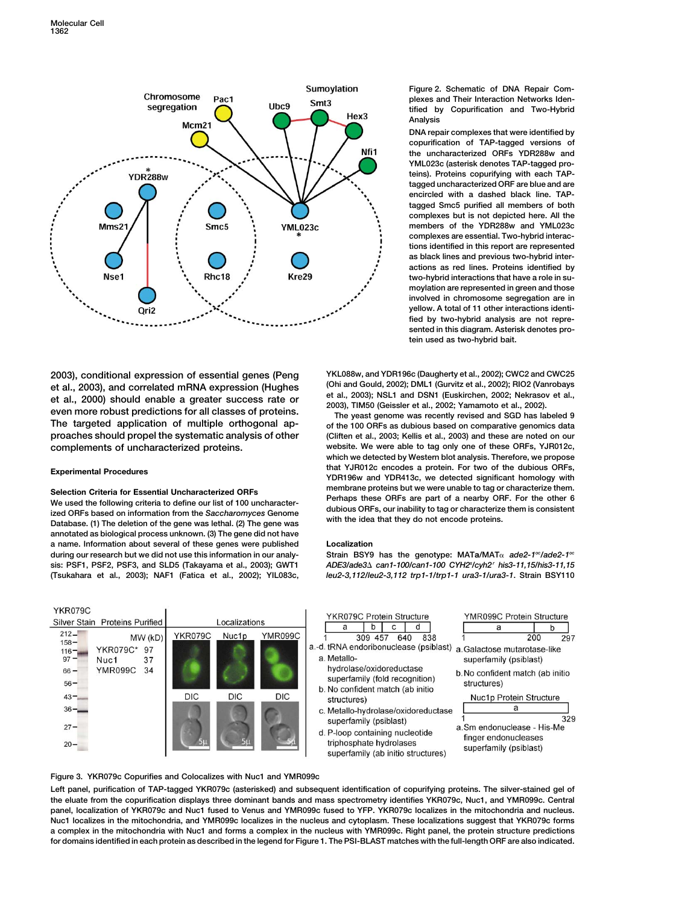

**2003), conditional expression of essential genes (Peng YKL088w, and YDR196c (Daugherty et al., 2002); CWC2 and CWC25** et al., 2003), and correlated mRNA expression (Hughes (Ohi and Gould, 2002); DML1 (Gurvitz et al., 2002); RIO2 (Vanrobays<br>et al., 2000) should enable a greater success rate or et al., 2003); NSL1 and DSN1 (Euskirchen, 2002 The targeted application of multiple orthogonal ap-<br>proaches should propel the systematic analysis of other (Cliften et al., 2003; Kellis et al., 2003) and these are noted on our

Database. (1) The deletion of the gene was lethal. (2) The gene was **annotated as biological process unknown. (3) The gene did not have a name. Information about several of these genes were published Localization Strain BSY9** has the genotype: MATa/MAT<sub>α</sub> ade2-1<sup>oc</sup>/ade2-1<sup>oc</sup> and use this information in our analy-<br>
Strain BSY9 has the genotype: MATa/MATα ade2-1<sup>oc</sup>/ade2-1<sup>oc</sup> sis: PSF1, PSF2, PSF3, and SLD5 (Takayama et al., 2003); GWT1

**Figure 2. Schematic of DNA Repair Complexes and Their Interaction Networks Identified by Copurification and Two-Hybrid Analysis**

**DNA repair complexes that were identified by copurification of TAP-tagged versions of the uncharacterized ORFs YDR288w and YML023c (asterisk denotes TAP-tagged proteins). Proteins copurifying with each TAPtagged uncharacterized ORF are blue and are encircled with a dashed black line. TAPtagged Smc5 purified all members of both complexes but is not depicted here. All the members of the YDR288w and YML023c complexes are essential. Two-hybrid interactions identified in this report are represented as black lines and previous two-hybrid interactions as red lines. Proteins identified by two-hybrid interactions that have a role in sumoylation are represented in green and those involved in chromosome segregation are in yellow. A total of 11 other interactions identified by two-hybrid analysis are not represented in this diagram. Asterisk denotes protein used as two-hybrid bait.**

(Cliften et al., 2003; Kellis et al., 2003) and these are noted on our **complements of uncharacterized proteins. website. We were able to tag only one of these ORFs, YJR012c, which we detected by Western blot analysis. Therefore, we propose that YJR012c encodes a protein. For two of the dubious ORFs, Experimental Procedures YDR196w and YDR413c, we detected significant homology with** Selection Criteria for Essential Uncharacterized ORFs<br>We used the following criteria to define our list of 100 uncharacter-<br>list of 100 uncharacter-<br>list of 100 uncharacter-<br>dubious ORFs, our inability to tag or characteri

*/cyh2r his3-11,15/his3-11,15* **(Tsukahara et al., 2003); NAF1 (Fatica et al., 2002); YIL083c,** *leu2-3,112/leu2-3,112 trp1-1/trp1-1 ura3-1/ura3-1***. Strain BSY110**



### **Figure 3. YKR079c Copurifies and Colocalizes with Nuc1 and YMR099c**

**Left panel, purification of TAP-tagged YKR079c (asterisked) and subsequent identification of copurifying proteins. The silver-stained gel of the eluate from the copurification displays three dominant bands and mass spectrometry identifies YKR079c, Nuc1, and YMR099c. Central panel, localization of YKR079c and Nuc1 fused to Venus and YMR099c fused to YFP. YKR079c localizes in the mitochondria and nucleus. Nuc1 localizes in the mitochondria, and YMR099c localizes in the nucleus and cytoplasm. These localizations suggest that YKR079c forms a complex in the mitochondria with Nuc1 and forms a complex in the nucleus with YMR099c. Right panel, the protein structure predictions for domains identified in each protein as described in the legend for Figure 1. The PSI-BLAST matches with the full-length ORF are also indicated.**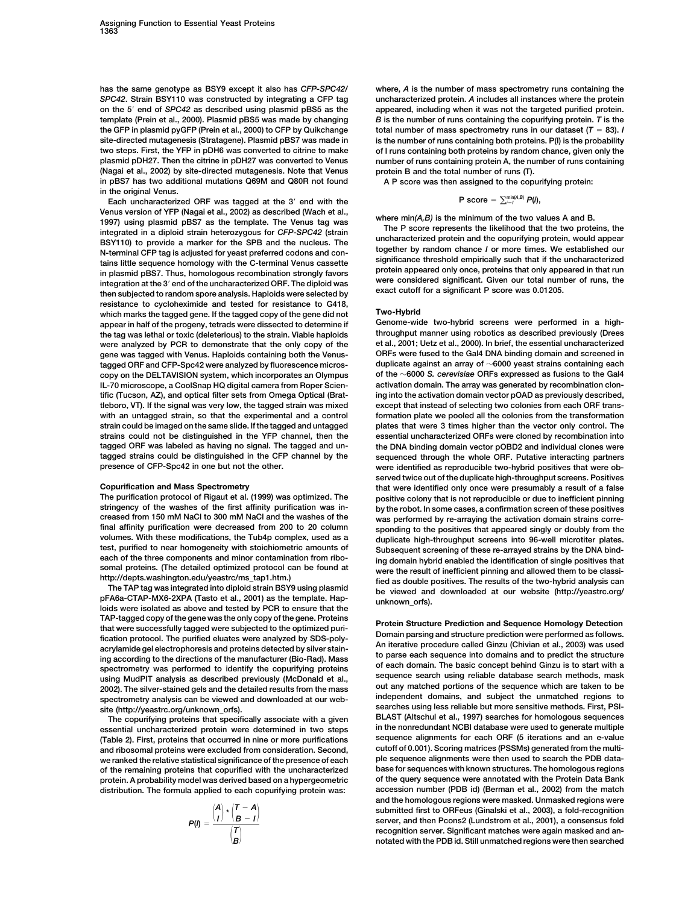**has the same genotype as BSY9 except it also has** *CFP-SPC42/* **where,** *A* **is the number of mass spectrometry runs containing the (Nagai et al., 2002) by site-directed mutagenesis. Note that Venus protein B and the total number of runs (T). in pBS7 has two additional mutations Q69M and Q80R not found A P score was then assigned to the copurifying protein: in the original Venus.**

**Each uncharacterized ORF was tagged at the 3** *<sup>i</sup><sup>I</sup> P***(***i***), end with the** Venus version of YFP (Nagai et al., 2002) as described (Wach et al.,<br>
1997) using plasmid pBS7 as the template. The Venus tag was<br>
integrated in a diploid strain heterozygous for CFP-SPC42 (strain<br>
BSY110) to provide a mar **resistance to cycloheximide and tested for resistance to G418,** which marks the tagged gene. If the tagged copy of the gene did not<br>appear in half of the progeny, tetrads were dissected to determine if<br>Genome-wide two-hybrid screens were performed in a highappear in half of the progeny, tetrads were dissected to determine if were analyzed by PCR to demonstrate that the only copy of the  $tagger$  agged ORF and CFP-Spc42 were analyzed by fluorescence micros-**IL-70 microscope, a CoolSnap HQ digital camera from Roper Scien- activation domain. The array was generated by recombination clontleboro, VT). If the signal was very low, the tagged strain was mixed except that instead of selecting two colonies from each ORF trans-**

and ribosomal proteins were excluded from consideration. Second, of the remaining proteins that copurified with the uncharacterized distribution. The formula applied to each copurifying protein was:

$$
P(I) = \frac{\binom{A}{I} \cdot \binom{T - A}{B - I}}{\binom{T}{B}}
$$

 $\bigg)$ 

*SPC42***. Strain BSY110 was constructed by integrating a CFP tag uncharacterized protein.** *A* **includes all instances where the protein on the 5 end of** *SPC42* **as described using plasmid pBS5 as the appeared, including when it was not the targeted purified protein. template (Prein et al., 2000). Plasmid pBS5 was made by changing** *B* **is the number of runs containing the copurifying protein.** *T* **is the the GFP in plasmid pyGFP (Prein et al., 2000) to CFP by Quikchange total number of mass spectrometry runs in our dataset (***T* **83).** *I* **site-directed mutagenesis (Stratagene). Plasmid pBS7 was made in is the number of runs containing both proteins. P(I) is the probability two steps. First, the YFP in pDH6 was converted to citrine to make of I runs containing both proteins by random chance, given only the plasmid pDH27. Then the citrine in pDH27 was converted to Venus number of runs containing protein A, the number of runs containing**

$$
P score = \sum_{i=1}^{\min(A,B)} P(i)
$$

**the tag was lethal or toxic (deleterious) to the strain. Viable haploids throughput manner using robotics as described previously (Drees gene was tagged with Venus. Haploids containing both the Venus- ORFs were fused to the Gal4 DNA binding domain and screened in copy on the DELTAVISION system, which incorporates an Olympus of the 6000** *S. cerevisiae* **ORFs expressed as fusions to the Gal4 tific (Tucson, AZ), and optical filter sets from Omega Optical (Brat- ing into the activation domain vector pOAD as previously described, with an untagged strain, so that the experimental and a control formation plate we pooled all the colonies from the transformation strain could be imaged on the same slide. If the tagged and untagged plates that were 3 times higher than the vector only control. The strains could not be distinguished in the YFP channel, then the essential uncharacterized ORFs were cloned by recombination into tagged ORF was labeled as having no signal. The tagged and un- the DNA binding domain vector pOBD2 and individual clones were tagged strains could be distinguished in the CFP channel by the sequenced through the whole ORF. Putative interacting partners** were identified as reproducible two-hybrid positives that were ob**served twice out of the duplicate high-throughput screens. Positives Copurification and Mass Spectrometry that were identified only once were presumably a result of a false The purification protocol of Rigaut et al. (1999) was optimized. The positive colony that is not reproducible or due to inefficient pinning stringency of the washes of the first affinity purification was in- by the robot. In some cases, a confirmation screen of these positives creased from 150 mM NaCl to 300 mM NaCl and the washes of the was performed by re-arraying the activation domain strains correfinal affinity purification were decreased from 200 to 20 column sponding to the positives that appeared singly or doubly from the volumes. With these modifications, the Tub4p complex, used as a duplicate high-throughput screens into 96-well microtiter plates.** test, purified to near homogeneity with stoichiometric amounts of<br>each of the three components and minor contamination from ribo-<br>somal proteins. (The detailed optimized protocol can be found at<br>http://depts.washington.edu

TAP-tagged copy of the gene was the only copy of the gene. Proteins<br>
that were successfully tagged were subjected to the optimized puri-<br>
fication proteins Structure Prediction and Sequence Homology Detection<br>
acrylamide g The copurifying proteins that specifically associate with a given<br>
essential uncharacterized protein were determined in two steps<br> **in the nonredundant NCBI database were used to generate multiple**<br>
(Table 2) First protein **(Table 2). First, proteins that occurred in nine or more purifications sequence alignments for each ORF (5 iterations and an e-value** we ranked the relative statistical significance of the presence of each ple sequence alignments were then used to search the PDB data-<br>
of the remaining proteins that copurified with the uncharacterized base for sequences **protein. A probability model was derived based on a hypergeometric of the query sequence were annotated with the Protein Data Bank and the homologous regions were masked. Unmasked regions were submitted first to ORFeus (Ginalski et al., 2003), a fold-recognition** server, and then Pcons2 (Lundstrom et al., 2001), a consensus fold *recognition server.* Significant matches were again masked and an-*<sup>B</sup>* **recognition server. Significant matches were again masked and an-notated with the PDB id. Still unmatched regions were then searched**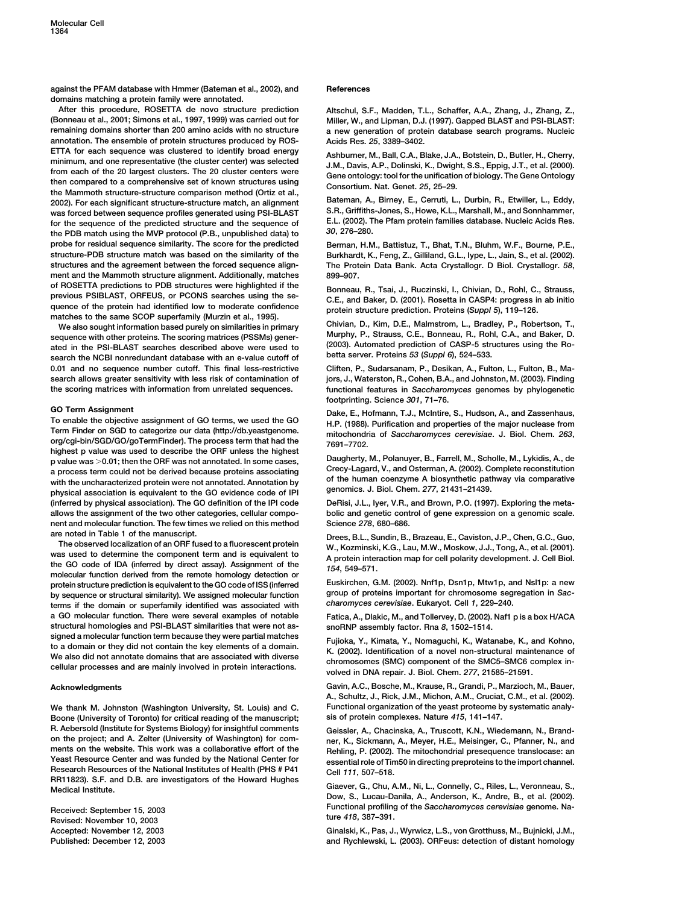**against the PFAM database with Hmmer (Bateman et al., 2002), and References domains matching a protein family were annotated.**

**After this procedure, ROSETTA de novo structure prediction Altschul, S.F., Madden, T.L., Schaffer, A.A., Zhang, J., Zhang, Z., remaining domains shorter than 200 amino acids with no structure a new generation of protein database search programs. Nucleic annotation. The ensemble of protein structures produced by ROS- Acids Res.** *25***, 3389–3402.** ETTA for each sequence was clustered to identify broad energy<br>minimum, and one representative (the cluster center) was selected<br>from each of the 20 largest clusters. The 20 cluster centers were<br>then compared to a comprehen **Bateman, A., Birney, E., Cerruti, L., Durbin, R., Etwiller, L., Eddy,** 2002). For each significant structure match, an alignment<br>2002). For each significant structure-structure match, an alignment<br>was forced between seque **was forced between sequence profiles generated using PSI-BLAST S.R., Griffiths-Jones, S., Howe, K.L., Marshall, M., and Sonnhammer, F.C. (2002). The Pfamilies of the predicted structure and the sequence of F.C. (2002). The PDP metabolic resp. 280.** *30***, 276–280. the PDB match using the MVP protocol (P.B., unpublished data) to probe for residual sequence similarity. The score for the predicted Berman, H.M., Battistuz, T., Bhat, T.N., Bluhm, W.F., Bourne, P.E., structure-PDB structure match was based on the similarity of the Burkhardt, K., Feng, Z., Gilliland, G.L., Iype, L., Jain, S., et al. (2002). ment and the Mammoth structure alignment. Additionally, matches 899–907.** of ROSETTA predictions to PDB structures were highlighted if the<br>previous PSIBLAST, ORFEUS, or PCONS searches using the se-<br>quence of the protein had identified low to moderate confidence<br>matches to the same SCOP superfami

sequence with other proteins. The scoring matrices (PSSMs) gener-<br>ated in the PSI-BLAST searches described above were used to (2003). Automated prediction of CASP-5 structures using the Ro-<br>search the NCBI popredundant dat **betta server. Proteins** *53* **(***Suppl 6***), 524–533. search the NCBI nonredundant database with an e-value cutoff of 0.01 and no sequence number cutoff. This final less-restrictive Cliften, P., Sudarsanam, P., Desikan, A., Fulton, L., Fulton, B., Masearch allows greater sensitivity with less risk of contamination of jors, J., Waterston, R., Cohen, B.A., and Johnston, M. (2003). Finding**

GO Term Assignment<br>To enable the objective assignment of GO terms, we used the GO<br>Term Finder on SGD to categorize our data (http://db.yeastgenome.<br>Term Finder on SGD to categorize our data (http://db.yeastgenome.<br>org/cgihighest p value was used to describe the ORF unless the highest<br>p value was >0.01; then the ORF was not annotated. In some cases,<br>a process term could not be derived because proteins associating<br>with the uncharacterized pr **(inferred by physical association). The GO definition of the IPI code DeRisi, J.L., Iyer, V.R., and Brown, P.O. (1997). Exploring the metaallows the assignment of the two other categories, cellular compo- bolic and genetic control of gene expression on a genomic scale. nent and molecular function. The few times we relied on this method Science** *278***, 680–686.**

molecular function derived from the remote homology detection or<br>protein structure prediction is equivalent to the GO code of ISS (inferred<br>by sequence or structural similarity). We assigned molecular function group of pro **by sequence or structural similarity). We assigned molecular function** group of proteins important for chromosome seg<br>
tarms if the domain or superfamily identified was associated with charomyces cerevisiae. Eukaryot, Cel *charomyces cerevisiae***. Eukaryot. Cell** *1***, 229–240. terms if the domain or superfamily identified was associated with a GO molecular function. There were several examples of notable Fatica, A., Dlakic, M., and Tollervey, D. (2002). Naf1 p is a box H/ACA structural homologies and PSI-BLAST similarities that were not as- snoRNP assembly factor. Rna** *8***, 1502–1514.**

Boone (University of Toronto) for critical reading of the manuscript; **R. Aebersold (Institute for Systems Biology) for insightful comments Geissler, A., Chacinska, A., Truscott, K.N., Wiedemann, N., Brandon the project; and A. Zelter (University of Washington) for com- ner, K., Sickmann, A., Meyer, H.E., Meisinger, C., Pfanner, N., and ments on the website. This work was a collaborative effort of the Rehling, P. (2002). The mitochondrial presequence translocase: an Research Resources of the National Institutes of Health (PHS # P41 Cell** *111***, 507–518. RR11823). S.F. and D.B. are investigators of the Howard Hughes Giaever, G., Chu, A.M., Ni, L., Connelly, C., Riles, L., Veronneau, S., Medical Institute.**

**Miller, W., and Lipman, D.J. (1997). Gapped BLAST and PSI-BLAST:** 

**structures and the agreement between the forced sequence align- The Protein Data Bank. Acta Crystallogr. D Biol. Crystallogr.** *58***,**

**We also sought information based purely on similarities in primary Chivian, D., Kim, D.E., Malmstrom, L., Bradley, P., Robertson, T.,**

**the scoring matrices with information from unrelated sequences. functional features in** *Saccharomyces* **genomes by phylogenetic footprinting. Science** *301***, 71–76.**

are noted in Table 1 of the manuscript.<br>
The observed localization of an ORF fused to a fluorescent protein<br>
was used to determine the component term and is equivalent to<br>
w., Kozminski, K.G., Lau, M.W., Moskow, J.J., Tong

Eujioka, Y., Kimata, Y., Nomaguchi, K., Watanabe, K., and Kohno,<br>to a domain or they did not contain the key elements of a domain.<br>We also did not annotate domains that are associated with diverse<br>cellular processes and ar

**Acknowledgments Gavin, A.C., Bosche, M., Krause, R., Grandi, P., Marzioch, M., Bauer, A., Schultz, J., Rick, J.M., Michon, A.M., Cruciat, C.M., et al. (2002).** We thank M. Johnston (Washington University, St. Louis) and C. Functional organization of the yeast proteome by systematic analy-<br>Boone (University of Toronto) for critical reading of the manuscript: sis of protein complex

essential role of Tim50 in directing preproteins to the import channel.

**Dow, S., Lucau-Danila, A., Anderson, K., Andre, B., et al. (2002). Functional profiling of the** *Saccharomyces cerevisiae* **genome. Na- Received: September 15, 2003 ture** *<sup>418</sup>***, 387–391. Revised: November 10, 2003**

**Accepted: November 12, 2003 Ginalski, K., Pas, J., Wyrwicz, L.S., von Grotthuss, M., Bujnicki, J.M., Published: December 12, 2003 and Rychlewski, L. (2003). ORFeus: detection of distant homology**